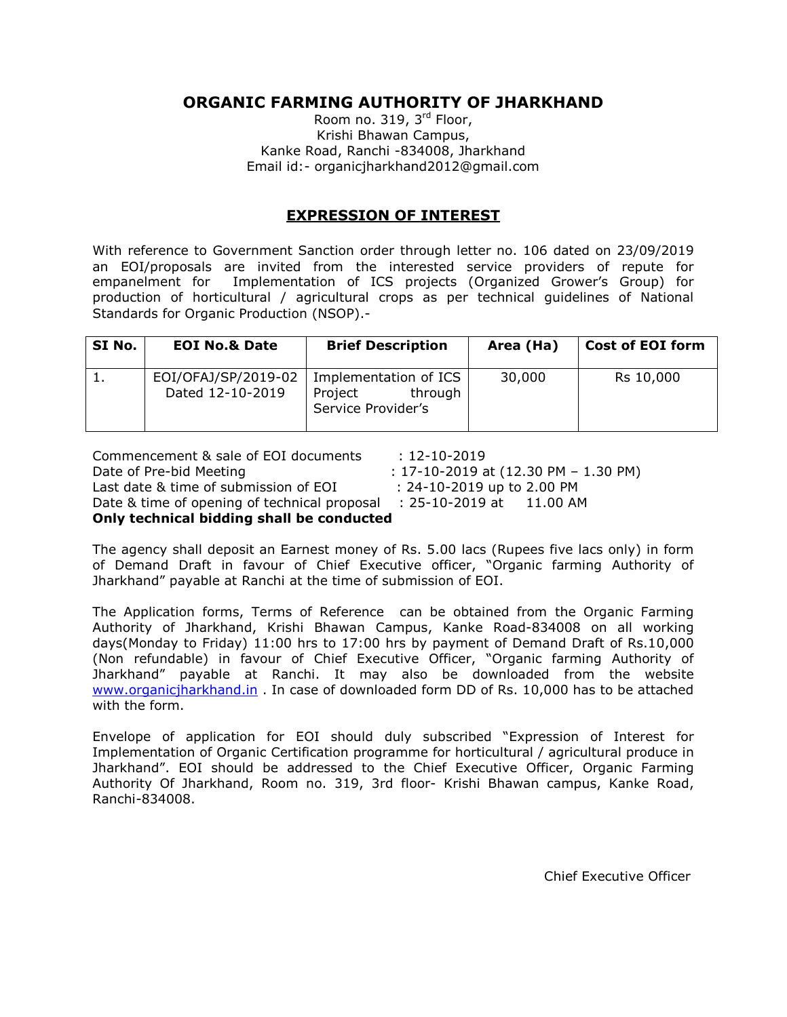# **ORGANIC FARMING AUTHORITY OF JHARKHAND**

Room no. 319, 3<sup>rd</sup> Floor, Krishi Bhawan Campus, Kanke Road, Ranchi -834008, Jharkhand Email id:- organicjharkhand2012@gmail.com

#### **EXPRESSION OF INTEREST**

With reference to Government Sanction order through letter no. 106 dated on 23/09/2019 an EOI/proposals are invited from the interested service providers of repute for empanelment for Implementation of ICS projects (Organized Grower's Group) for production of horticultural / agricultural crops as per technical guidelines of National Standards for Organic Production (NSOP).-

| SI No. | <b>EOI No.&amp; Date</b>                | <b>Brief Description</b>                                          | Area (Ha) | <b>Cost of EOI form</b> |
|--------|-----------------------------------------|-------------------------------------------------------------------|-----------|-------------------------|
|        | EOI/OFAJ/SP/2019-02<br>Dated 12-10-2019 | Implementation of ICS<br>through<br>Project<br>Service Provider's | 30,000    | Rs 10,000               |

Commencement & sale of EOI documents : 12-10-2019 Date of Pre-bid Meeting : 17-10-2019 at (12.30 PM – 1.30 PM) Last date & time of submission of EOI : 24-10-2019 up to 2.00 PM Date & time of opening of technical proposal : 25-10-2019 at 11.00 AM **Only technical bidding shall be conducted**

The agency shall deposit an Earnest money of Rs. 5.00 lacs (Rupees five lacs only) in form of Demand Draft in favour of Chief Executive officer, "Organic farming Authority of Jharkhand" payable at Ranchi at the time of submission of EOI.

The Application forms, Terms of Reference can be obtained from the Organic Farming Authority of Jharkhand, Krishi Bhawan Campus, Kanke Road-834008 on all working days(Monday to Friday) 11:00 hrs to 17:00 hrs by payment of Demand Draft of Rs.10,000 (Non refundable) in favour of Chief Executive Officer, "Organic farming Authority of Jharkhand" payable at Ranchi. It may also be downloaded from the website [www.organicjharkhand.in](http://www.organicjharkhand.in/) . In case of downloaded form DD of Rs. 10,000 has to be attached with the form.

Envelope of application for EOI should duly subscribed "Expression of Interest for Implementation of Organic Certification programme for horticultural / agricultural produce in Jharkhand". EOI should be addressed to the Chief Executive Officer, Organic Farming Authority Of Jharkhand, Room no. 319, 3rd floor- Krishi Bhawan campus, Kanke Road, Ranchi-834008.

Chief Executive Officer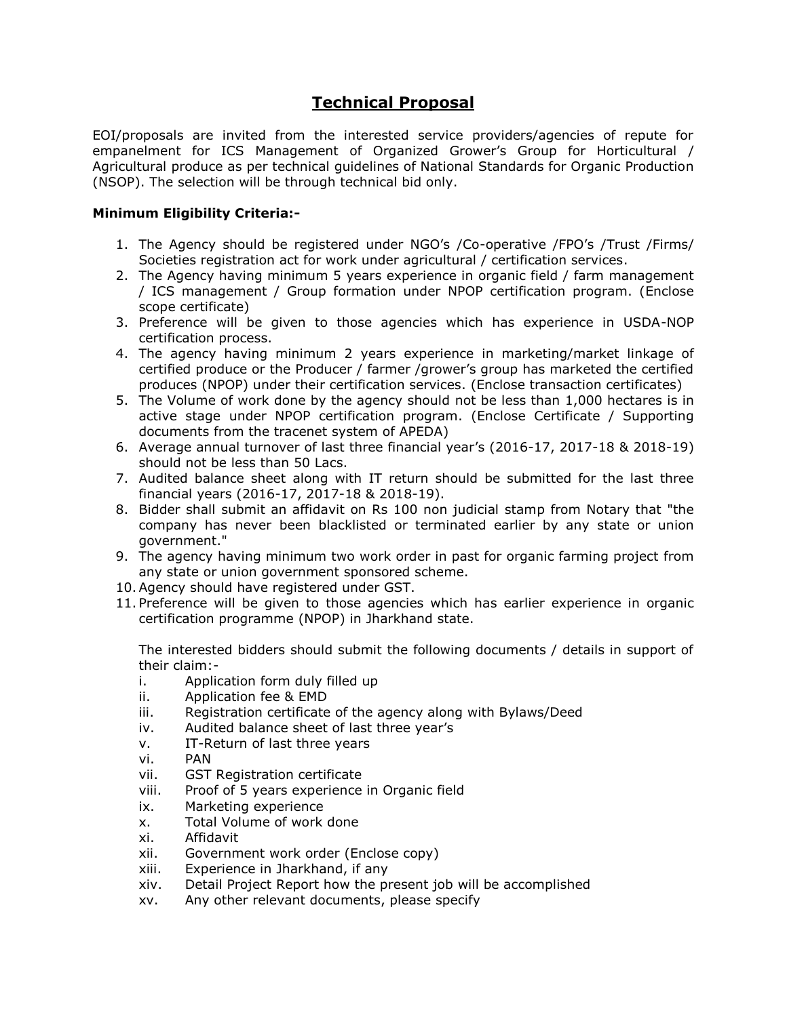# **Technical Proposal**

EOI/proposals are invited from the interested service providers/agencies of repute for empanelment for ICS Management of Organized Grower's Group for Horticultural / Agricultural produce as per technical guidelines of National Standards for Organic Production (NSOP). The selection will be through technical bid only.

#### **Minimum Eligibility Criteria:-**

- 1. The Agency should be registered under NGO's /Co-operative /FPO's /Trust /Firms/ Societies registration act for work under agricultural / certification services.
- 2. The Agency having minimum 5 years experience in organic field / farm management / ICS management / Group formation under NPOP certification program. (Enclose scope certificate)
- 3. Preference will be given to those agencies which has experience in USDA-NOP certification process.
- 4. The agency having minimum 2 years experience in marketing/market linkage of certified produce or the Producer / farmer /grower's group has marketed the certified produces (NPOP) under their certification services. (Enclose transaction certificates)
- 5. The Volume of work done by the agency should not be less than 1,000 hectares is in active stage under NPOP certification program. (Enclose Certificate / Supporting documents from the tracenet system of APEDA)
- 6. Average annual turnover of last three financial year's (2016-17, 2017-18 & 2018-19) should not be less than 50 Lacs.
- 7. Audited balance sheet along with IT return should be submitted for the last three financial years (2016-17, 2017-18 & 2018-19).
- 8. Bidder shall submit an affidavit on Rs 100 non judicial stamp from Notary that "the company has never been blacklisted or terminated earlier by any state or union government."
- 9. The agency having minimum two work order in past for organic farming project from any state or union government sponsored scheme.
- 10.Agency should have registered under GST.
- 11. Preference will be given to those agencies which has earlier experience in organic certification programme (NPOP) in Jharkhand state.

The interested bidders should submit the following documents / details in support of their claim:-

- i. Application form duly filled up
- ii. Application fee & EMD
- iii. Registration certificate of the agency along with Bylaws/Deed
- iv. Audited balance sheet of last three year's
- v. IT-Return of last three years
- vi. PAN
- vii. GST Registration certificate
- viii. Proof of 5 years experience in Organic field
- ix. Marketing experience
- x. Total Volume of work done
- xi. Affidavit
- xii. Government work order (Enclose copy)
- xiii. Experience in Jharkhand, if any
- xiv. Detail Project Report how the present job will be accomplished
- xv. Any other relevant documents, please specify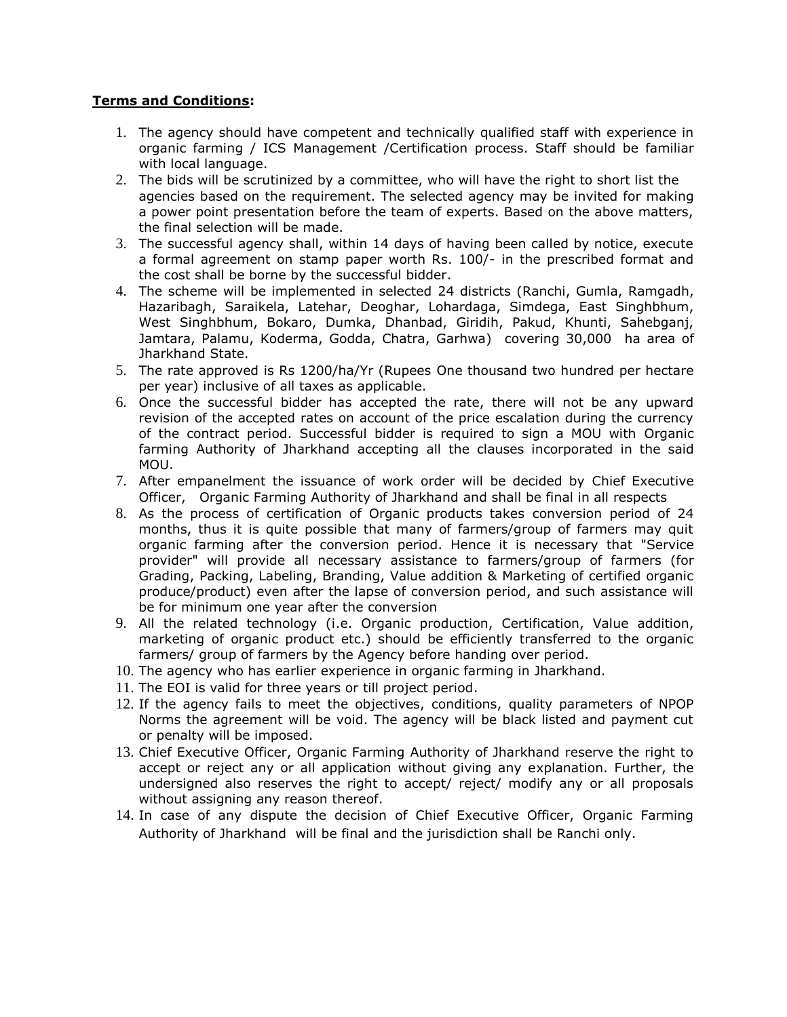#### **Terms and Conditions:**

- 1. The agency should have competent and technically qualified staff with experience in organic farming / ICS Management /Certification process. Staff should be familiar with local language.
- 2. The bids will be scrutinized by a committee, who will have the right to short list the agencies based on the requirement. The selected agency may be invited for making a power point presentation before the team of experts. Based on the above matters, the final selection will be made.
- 3. The successful agency shall, within 14 days of having been called by notice, execute a formal agreement on stamp paper worth Rs. 100/- in the prescribed format and the cost shall be borne by the successful bidder.
- 4. The scheme will be implemented in selected 24 districts (Ranchi, Gumla, Ramgadh, Hazaribagh, Saraikela, Latehar, Deoghar, Lohardaga, Simdega, East Singhbhum, West Singhbhum, Bokaro, Dumka, Dhanbad, Giridih, Pakud, Khunti, Sahebganj, Jamtara, Palamu, Koderma, Godda, Chatra, Garhwa) covering 30,000 ha area of Jharkhand State.
- 5. The rate approved is Rs 1200/ha/Yr (Rupees One thousand two hundred per hectare per year) inclusive of all taxes as applicable.
- 6. Once the successful bidder has accepted the rate, there will not be any upward revision of the accepted rates on account of the price escalation during the currency of the contract period. Successful bidder is required to sign a MOU with Organic farming Authority of Jharkhand accepting all the clauses incorporated in the said MOU.
- 7. After empanelment the issuance of work order will be decided by Chief Executive Officer, Organic Farming Authority of Jharkhand and shall be final in all respects
- 8. As the process of certification of Organic products takes conversion period of 24 months, thus it is quite possible that many of farmers/group of farmers may quit organic farming after the conversion period. Hence it is necessary that "Service provider" will provide all necessary assistance to farmers/group of farmers (for Grading, Packing, Labeling, Branding, Value addition & Marketing of certified organic produce/product) even after the lapse of conversion period, and such assistance will be for minimum one year after the conversion
- 9. All the related technology (i.e. Organic production, Certification, Value addition, marketing of organic product etc.) should be efficiently transferred to the organic farmers/ group of farmers by the Agency before handing over period.
- 10. The agency who has earlier experience in organic farming in Jharkhand.
- 11. The EOI is valid for three years or till project period.
- 12. If the agency fails to meet the objectives, conditions, quality parameters of NPOP Norms the agreement will be void. The agency will be black listed and payment cut or penalty will be imposed.
- 13. Chief Executive Officer, Organic Farming Authority of Jharkhand reserve the right to accept or reject any or all application without giving any explanation. Further, the undersigned also reserves the right to accept/ reject/ modify any or all proposals without assigning any reason thereof.
- 14. In case of any dispute the decision of Chief Executive Officer, Organic Farming Authority of Jharkhand will be final and the jurisdiction shall be Ranchi only.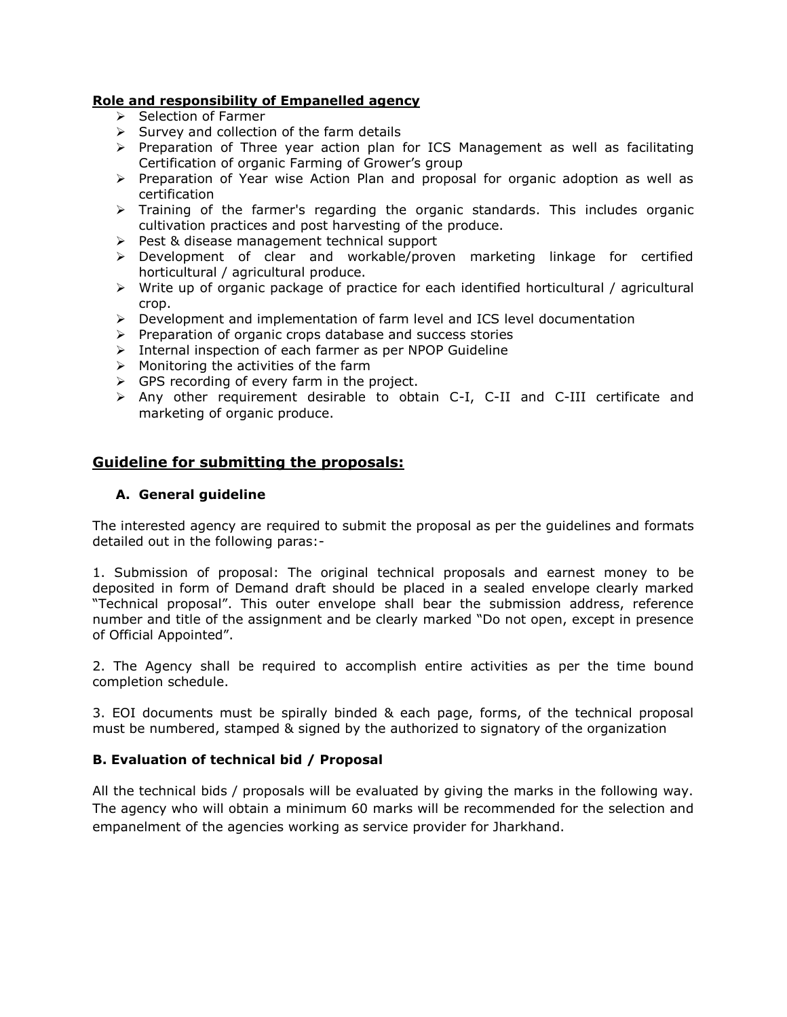#### **Role and responsibility of Empanelled agency**

- $\triangleright$  Selection of Farmer
- $\triangleright$  Survey and collection of the farm details
- $\triangleright$  Preparation of Three year action plan for ICS Management as well as facilitating Certification of organic Farming of Grower's group
- $\triangleright$  Preparation of Year wise Action Plan and proposal for organic adoption as well as certification
- > Training of the farmer's regarding the organic standards. This includes organic cultivation practices and post harvesting of the produce.
- $\triangleright$  Pest & disease management technical support
- Development of clear and workable/proven marketing linkage for certified horticultural / agricultural produce.
- $\triangleright$  Write up of organic package of practice for each identified horticultural / agricultural crop.
- $\triangleright$  Development and implementation of farm level and ICS level documentation
- $\triangleright$  Preparation of organic crops database and success stories
- $\triangleright$  Internal inspection of each farmer as per NPOP Guideline
- $\triangleright$  Monitoring the activities of the farm
- $\triangleright$  GPS recording of every farm in the project.
- Any other requirement desirable to obtain C-I, C-II and C-III certificate and marketing of organic produce.

## **Guideline for submitting the proposals:**

#### **A. General guideline**

The interested agency are required to submit the proposal as per the guidelines and formats detailed out in the following paras:-

1. Submission of proposal: The original technical proposals and earnest money to be deposited in form of Demand draft should be placed in a sealed envelope clearly marked "Technical proposal". This outer envelope shall bear the submission address, reference number and title of the assignment and be clearly marked "Do not open, except in presence of Official Appointed".

2. The Agency shall be required to accomplish entire activities as per the time bound completion schedule.

3. EOI documents must be spirally binded & each page, forms, of the technical proposal must be numbered, stamped & signed by the authorized to signatory of the organization

#### **B. Evaluation of technical bid / Proposal**

All the technical bids / proposals will be evaluated by giving the marks in the following way. The agency who will obtain a minimum 60 marks will be recommended for the selection and empanelment of the agencies working as service provider for Jharkhand.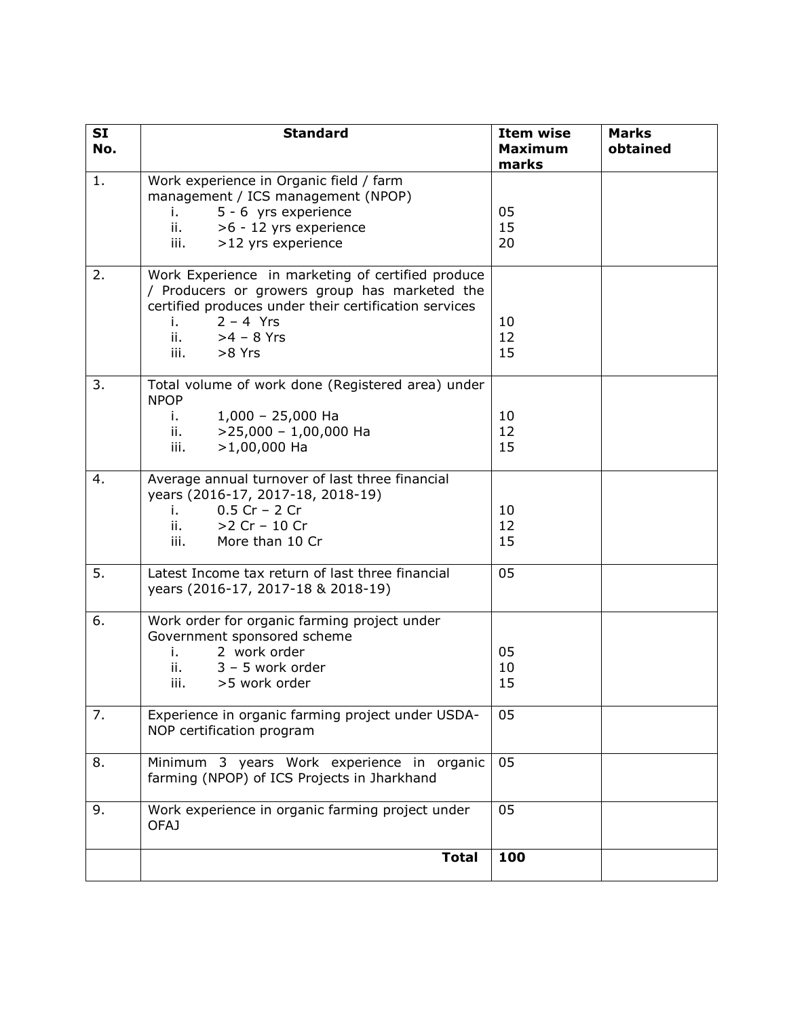| SI<br>No. | <b>Standard</b>                                                                                                                                                                                                           | <b>Item wise</b><br><b>Maximum</b><br>marks | <b>Marks</b><br>obtained |
|-----------|---------------------------------------------------------------------------------------------------------------------------------------------------------------------------------------------------------------------------|---------------------------------------------|--------------------------|
| 1.        | Work experience in Organic field / farm<br>management / ICS management (NPOP)<br>5 - 6 yrs experience<br>i. L<br>ii.<br>>6 - 12 yrs experience<br>>12 yrs experience<br>iii.                                              | 05<br>15<br>20                              |                          |
| 2.        | Work Experience in marketing of certified produce<br>/ Producers or growers group has marketed the<br>certified produces under their certification services<br>$2 - 4$ Yrs<br>i.<br>ii.<br>$>4 - 8$ Yrs<br>iii.<br>>8 Yrs | 10<br>12<br>15                              |                          |
| 3.        | Total volume of work done (Registered area) under<br><b>NPOP</b><br>$1,000 - 25,000$ Ha<br>i. a<br>$>$ 25,000 - 1,00,000 Ha<br>$\mathbf{ii}$ .<br>iii.<br>$>1,00,000$ Ha                                                  | 10<br>12<br>15                              |                          |
| 4.        | Average annual turnover of last three financial<br>years (2016-17, 2017-18, 2018-19)<br>$0.5$ Cr - 2 Cr<br>i. a<br>>2 Cr - 10 Cr<br>ii. I<br>More than 10 Cr<br>iii. I                                                    | 10<br>12<br>15                              |                          |
| 5.        | Latest Income tax return of last three financial<br>years (2016-17, 2017-18 & 2018-19)                                                                                                                                    | 05                                          |                          |
| 6.        | Work order for organic farming project under<br>Government sponsored scheme<br>2 work order<br>i. a<br>ii.<br>$3 - 5$ work order<br>iii.<br>>5 work order                                                                 | 05<br>10<br>15                              |                          |
| 7.        | Experience in organic farming project under USDA-<br>NOP certification program                                                                                                                                            | 05                                          |                          |
| 8.        | Minimum 3 years Work experience in organic<br>farming (NPOP) of ICS Projects in Jharkhand                                                                                                                                 | 05                                          |                          |
| 9.        | Work experience in organic farming project under<br><b>OFAJ</b>                                                                                                                                                           | 05                                          |                          |
|           | <b>Total</b>                                                                                                                                                                                                              | 100                                         |                          |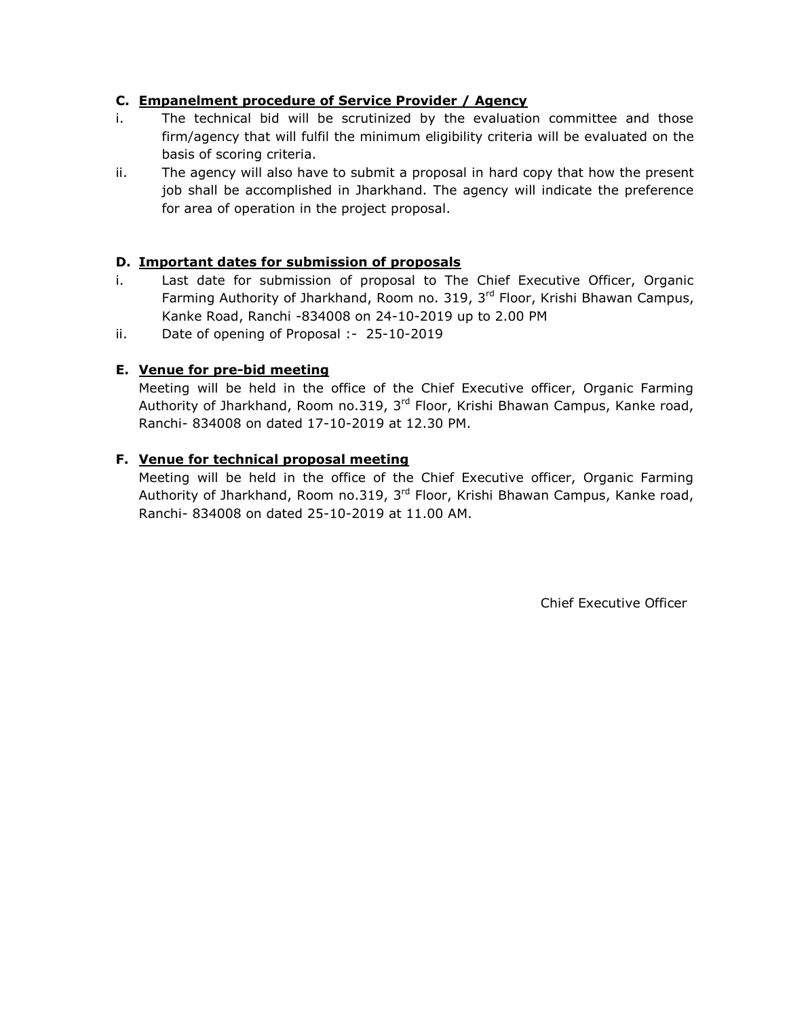## **C. Empanelment procedure of Service Provider / Agency**

- i. The technical bid will be scrutinized by the evaluation committee and those firm/agency that will fulfil the minimum eligibility criteria will be evaluated on the basis of scoring criteria.
- ii. The agency will also have to submit a proposal in hard copy that how the present job shall be accomplished in Jharkhand. The agency will indicate the preference for area of operation in the project proposal.

## **D. Important dates for submission of proposals**

- i. Last date for submission of proposal to The Chief Executive Officer, Organic Farming Authority of Jharkhand, Room no. 319, 3<sup>rd</sup> Floor, Krishi Bhawan Campus, Kanke Road, Ranchi -834008 on 24-10-2019 up to 2.00 PM
- ii. Date of opening of Proposal :- 25-10-2019

# **E. Venue for pre-bid meeting**

Meeting will be held in the office of the Chief Executive officer, Organic Farming Authority of Jharkhand, Room no.319, 3<sup>rd</sup> Floor, Krishi Bhawan Campus, Kanke road, Ranchi- 834008 on dated 17-10-2019 at 12.30 PM.

#### **F. Venue for technical proposal meeting**

Meeting will be held in the office of the Chief Executive officer, Organic Farming Authority of Jharkhand, Room no.319,  $3<sup>rd</sup>$  Floor, Krishi Bhawan Campus, Kanke road, Ranchi- 834008 on dated 25-10-2019 at 11.00 AM.

Chief Executive Officer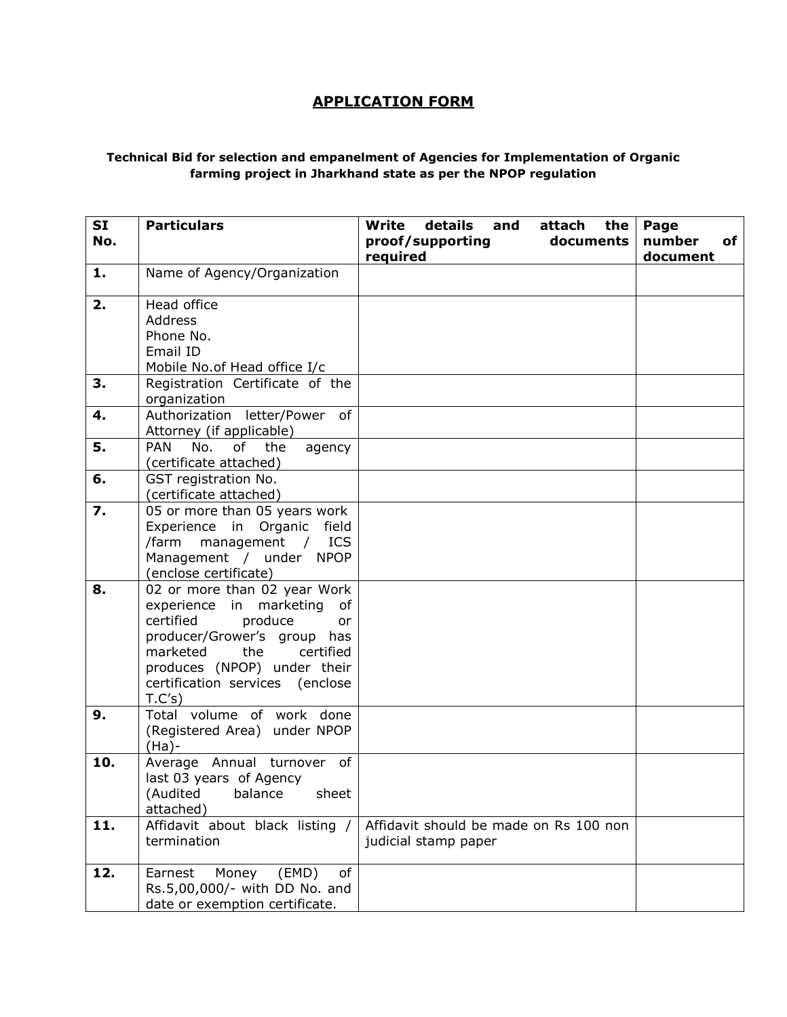# **APPLICATION FORM**

#### **Technical Bid for selection and empanelment of Agencies for Implementation of Organic farming project in Jharkhand state as per the NPOP regulation**

| <b>SI</b><br>No. | <b>Particulars</b>                                                                                                                                                                                                                  | details<br><b>Write</b><br>and<br>attach<br>the<br>proof/supporting<br>documents<br>required | Page<br>number<br>of<br>document |
|------------------|-------------------------------------------------------------------------------------------------------------------------------------------------------------------------------------------------------------------------------------|----------------------------------------------------------------------------------------------|----------------------------------|
| 1.               | Name of Agency/Organization                                                                                                                                                                                                         |                                                                                              |                                  |
| 2.               | Head office<br>Address<br>Phone No.<br>Email ID<br>Mobile No.of Head office I/c                                                                                                                                                     |                                                                                              |                                  |
| 3.               | Registration Certificate of the<br>organization                                                                                                                                                                                     |                                                                                              |                                  |
| 4.<br>5.         | Authorization letter/Power of<br>Attorney (if applicable)<br>No.<br>of<br><b>PAN</b><br>the<br>agency                                                                                                                               |                                                                                              |                                  |
|                  | (certificate attached)                                                                                                                                                                                                              |                                                                                              |                                  |
| 6.               | GST registration No.<br>(certificate attached)                                                                                                                                                                                      |                                                                                              |                                  |
| 7.               | 05 or more than 05 years work<br>Experience in Organic field<br><b>ICS</b><br>/farm<br>management<br>$\sqrt{2}$<br>Management / under NPOP<br>(enclose certificate)                                                                 |                                                                                              |                                  |
| 8.               | 02 or more than 02 year Work<br>experience in marketing of<br>certified<br>produce<br>or<br>producer/Grower's group has<br>marketed<br>the<br>certified<br>produces (NPOP) under their<br>certification services (enclose<br>T.C's) |                                                                                              |                                  |
| 9.               | Total volume of work done<br>(Registered Area) under NPOP<br>(Ha)-                                                                                                                                                                  |                                                                                              |                                  |
| 10.              | Average Annual turnover of<br>last 03 years of Agency<br>sheet<br>(Audited<br>balance<br>attached)                                                                                                                                  |                                                                                              |                                  |
| 11.              | Affidavit about black listing /<br>termination                                                                                                                                                                                      | Affidavit should be made on Rs 100 non<br>judicial stamp paper                               |                                  |
| 12.              | Earnest<br>Money<br>(EMD)<br>of<br>Rs.5,00,000/- with DD No. and<br>date or exemption certificate.                                                                                                                                  |                                                                                              |                                  |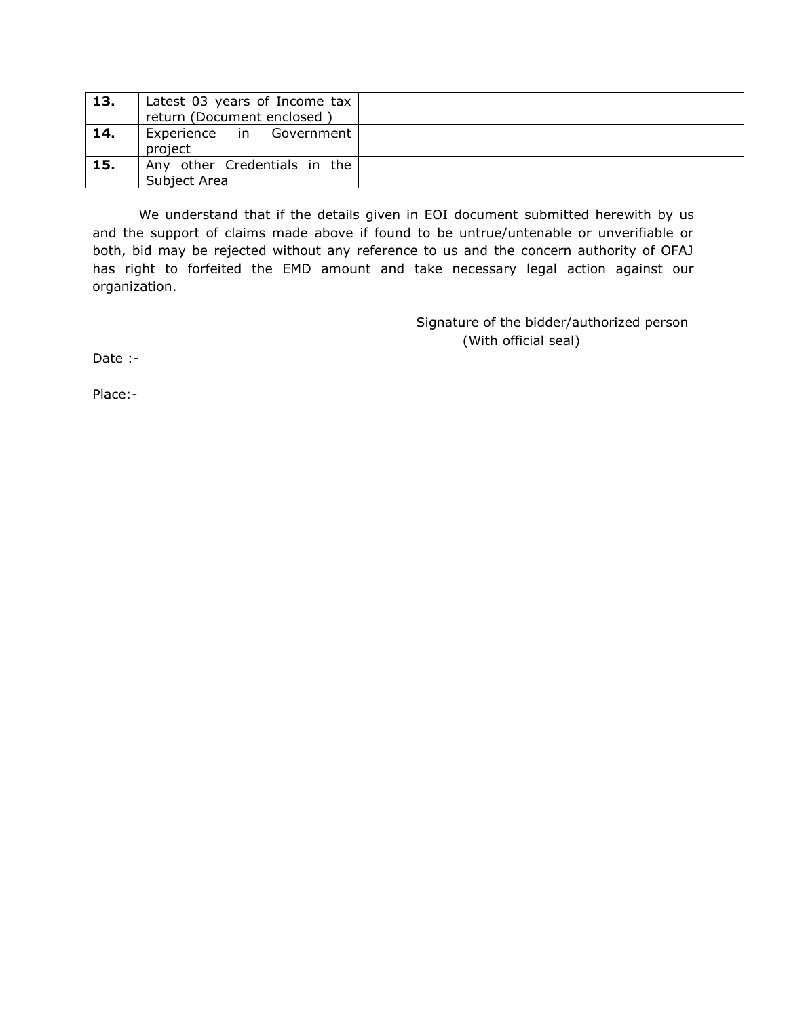| 13. | Latest 03 years of Income tax<br>return (Document enclosed) |  |
|-----|-------------------------------------------------------------|--|
| 14. | Experience in Government<br>project                         |  |
| 15. | Any other Credentials in the<br>Subject Area                |  |

We understand that if the details given in EOI document submitted herewith by us and the support of claims made above if found to be untrue/untenable or unverifiable or both, bid may be rejected without any reference to us and the concern authority of OFAJ has right to forfeited the EMD amount and take necessary legal action against our organization.

> Signature of the bidder/authorized person (With official seal)

Date :-

Place:-